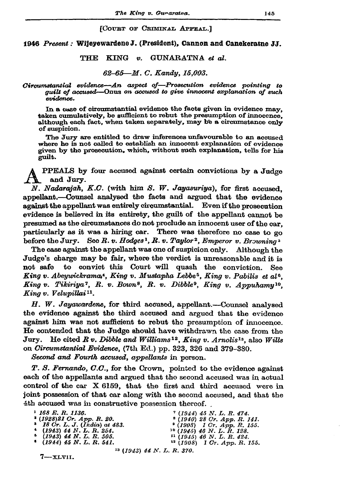#### [COURT OF CRIMINAL APPEAL.]

## 1946 Present: Wijeyewardene J. (President), Cannon and Canekeratne JJ.

### THE KING v. GUNARATNA et al.

## 62-65-M. C. Kandy. 15.003.

#### Circumstantial evidence—An aspect of—Prosecution evidence pointing to quilt of accused—Onus on accused to give innocent explanation of such evidence.

In a case of circumstantial evidence the facts given in evidence may. taken cumulatively, be sufficient to rebut the presumption of innocence. although each fact, when taken separately, may be a circumstance only of suspicion.

The Jury are entitled to draw inferences unfavourable to an accused where he is not called to establish an innocent explanation of evidence given by the prosecution, which, without such explanation, tells for his guilt.

PPEALS by four accused against certain convictions by a Judge and Jury.

N. Nadarajah, K.C. (with him S. W. Jayasuriya), for first accused. appellant.--Counsel analysed the facts and argued that the evidence against the appellant was entirely circumstantial. Even if the prosecution evidence is believed in its entirety, the guilt of the appellant cannot be presumed as the circumstances do not preclude an innocent user of the car. particularly as it was a hiring car. There was therefore no case to go before the Jury. See R. v. Hodges<sup>1</sup>, R. v. Taylor<sup>2</sup>, Emperor v. Browning<sup>3</sup>

The case against the appellant was one of suspicion only. Although the Judge's charge may be fair, where the verdict is unreasonable and it is not safe to convict this Court will quash the conviction. See King v. Abeywickramas<sup>4</sup>, King v. Mustapha Lebbe<sup>5</sup>, King v. Pabilis et al<sup>6</sup>. King v. Tikiriya<sup>7</sup>, R. v. Bown<sup>8</sup>, R. v. Dibble<sup>9</sup>, King v. Appuhamy<sup>10</sup>, King v. Velupillai<sup>11</sup>.

H. W. Jayawardene, for third accused, appellant.--Counsel analysed the evidence against the third accused and argued that the evidence against him was not sufficient to rebut the presumption of innocence. He contended that the Judge should have withdrawn the case from the Jury. He cited R v. Dibble and Williams<sup>12</sup>, King v. Arnolis<sup>13</sup>, also Wills on Circumstantial Evidence, (7th Ed.) pp. 323, 326 and 379-380.

Second and Fourth accused, appellants in person.

T. S. Fernando, C.C., for the Crown, pointed to the evidence against each of the appellants and argued that the second accused was in actual control of the car X 6159, that the first and third accused were in joint possession of that car along with the second accused, and that the 4th accused was in constructive possession thereof.

| $1\,168\,E$ . R. 1136.           | $7(1944)$ 45 N, L, R, 474,         |
|----------------------------------|------------------------------------|
| $(1928)21$ Cr. App. R. 20.       | $(1940)$ 28 Cr. App. R. 141.       |
| $3$ 18 Cr. L. J. (India) at 483. | $(1908)$ 1 Cr. App. R. 155.        |
| $(1943)$ 44 N.L.R. 254.          | <sup>10</sup> (1945) 46 N.L.R.128. |
| $(1943)$ 44 N.L.R. 505.          | $^{11}$ (1945) 46 N. L. R. 424.    |
| $(1944)$ 45 N, L, R, 541.        | $12$ (1908) 1 Cr. App. R. 155.     |
|                                  | $13$ (1943) 44 N. L. R. 370.       |

 $7 - xL$ vii.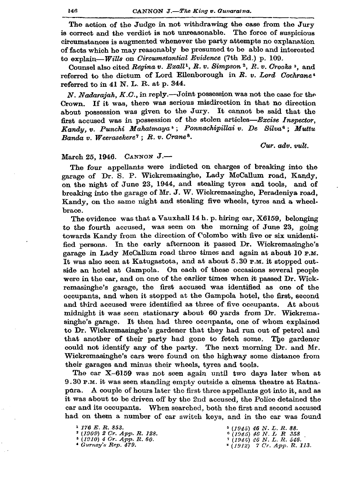The action of the Judge in not withdrawing the case from the Jury is correct and the verdict is not unreasonable. The force of suspicious circumstances is augmented whenever the party attempts no explanation of facts which he may reasonably be presumed to be able and interested to explain-Wills on Circumstantial Evidence (7th Ed.) p. 109.

Counsel also cited Regina v. Exall<sup>1</sup>, R. v. Simpson<sup>2</sup>, R. v. Crooks<sup>3</sup>, and referred to the dictum of Lord Ellenborough in R. v. Lord Cochrane® referred to in 41 N. L. R. at p. 344.

N. Nadarajah,  $K.C.$ , in reply.—Joint possession was not the case for the Crown. If it was, there was serious misdirection in that no direction about possession was given to the Jury. It cannot be said that the first accused was in possession of the stolen articles-Excise Inspector. Kandy, v. Punchi Mahatmaya<sup>5</sup>; Ponnachipillai v. De Silva<sup>6</sup>; Muttu Banda v. Weerasekere<sup>7</sup>; R. v. Crane<sup>8</sup>.

Cur. adv. vult.

# March 25, 1946. CANNON J.-

The four appellants were indicted on charges of breaking into the garage of Dr. S. P. Wickremasinghe, Lady McCallum road, Kandy, on the night of June 23, 1944, and stealing tyres and tools, and of breaking into the garage of Mr. J. W. Wickremasinghe, Peradeniya road, Kandy, on the same night and stealing five wheels, tyres and a wheelbrace.

The evidence was that a Vauxhall 14 h. p. hiring car, X6159, belonging to the fourth accused, was seen on the morning of June 23, going towards Kandy from the direction of Colombo with five or six unidentified persons. In the early afternoon it passed Dr. Wickremasinghe's garage in Lady McCallum road three times and again at about 10 P.M. It was also seen at Katugastota, and at about 5.30 P.M. it stopped outside an hotel at Gampola. On each of these occasions several people were in the car, and on one of the earlier times when it passed Dr. Wickremasinghe's garage, the first accused was identified as one of the occupants, and when it stopped at the Gampola hotel, the first, second and third accused were identified as three of five occupants. At about midnight it was seen stationary about 60 yards from Dr. Wickremasinghe's garage. It then had three occupants, one of whom explained to Dr. Wickremasinghe's gardener that they had run out of petrol and that another of their party had gone to fetch some. The gardener could not identify any of the party. The next morning Dr. and Mr. Wickremasinghe's cars were found on the highway some distance from their garages and minus their wheels, tyres and tools.

The car X-6159 was not seen again until two days later when at 9.30 P.M. it was seen standing empty outside a cinema theatre at Ratnapura. A couple of hours later the first three appellants got into it, and as it was about to be driven off by the 2nd accused, the Police detained the car and its occupants. When searched, both the first and second accused had on them a number of car switch keys, and in the car was found

<sup>4</sup> Gurney's Rep. 479.

 $(1945)$  46 N.L.R. 88.  $\begin{array}{c} \hbox{6 (1945) 46 N. L R 358}\\ \hbox{7 (1945) 46 N. L. R. 546.}\\ \hbox{8 (1912) 7 Cr. App. R. 113.} \end{array}$ 

<sup>&</sup>lt;sup>1</sup> 176 E.R. 853.

 $(1909)$  2 Cr. App. R. 128.<br>  $(1910)$  4 Cr. App. R. 60.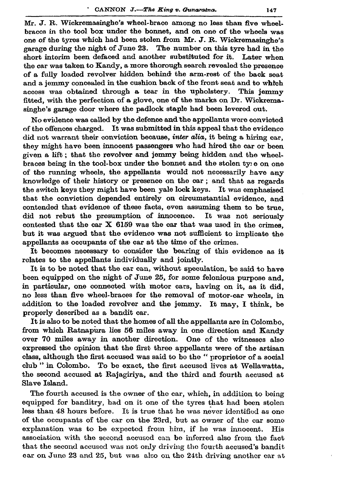Mr. J. R. Wickremasinghe's wheel-brace among no less than five wheelbraces in the tool box under the bonnet, and on one of the wheels was one of the tyres which had been stolen from Mr. J. R. Wickremasinghe's garage during the night of June 23. The number on this tyre had in the short interim been defaced and another substituted for it. Later when the car was taken to Kandy, a more thorough search revealed the presence of a fully loaded revolver hidden behind the arm-rest of the back seat and a jemmy concealed in the cushion back of the front seat and to which access was obtained through a tear in the upholstery. This jemmy fitted, with the perfection of a glove, one of the marks on Dr. Wickremasinghe's garage door where the padlock staple had been levered out.

No evidence was called by the defence and the appellants were convicted of the offences charged. It was submitted in this appeal that the evidence did not warrant their conviction because, *inter alia*, it being a hiring car. they might have been innocent passengers who had hired the car or been given a lift; that the revolver and jemmy being hidden and the wheelbraces being in the tool-box under the bonnet and the stolen type on one of the running wheels, the appellants would not necessarily have any knowledge of their history or presence on the car; and that as regards the switch keys they might have been yale lock keys. It was emphasised that the conviction depended entirely on circumstantial evidence, and contended that evidence of these facts, even assuming them to be true. did not rebut the presumption of innocence. It was not seriously contested that the car  $X$  6159 was the car that was used in the crimes. but it was argued that the evidence was not sufficient to implicate the appellants as occupants of the car at the time of the crimes.

It becomes necessary to consider the bearing of this evidence as it relates to the appellants individually and jointly.

It is to be noted that the car can, without speculation, be said to have been equipped on the night of June 25, for some felonious purpose and. in particular, one connected with motor cars, having on it, as it did. no less than five wheel-braces for the removal of motor-car wheels, in addition to the loaded revolver and the jemmy. It may, I think, be properly described as a bandit car.

It is also to be noted that the homes of all the appellants are in Colombo, from which Ratnapura lies 56 miles away in one direction and Kandy over 70 miles away in another direction. One of the witnesses also expressed the opinion that the first three appellants were of the artisan class, although the first accused was said to be the " proprietor of a social club" in Colombo. To be exact, the first accused lives at Wellawatta. the second accused at Rajagiriya, and the third and fourth accused at Slave Island.

The fourth accused is the owner of the car, which, in addition to being equipped for banditry, had on it one of the tyres that had been stolen less than 48 hours before. It is true that he was never identified as one of the occupants of the car on the 23rd, but as owner of the car some explanation was to be expected from him, if he was innocent. His association with the second accused can be inferred also from the fact that the second accused was not only driving the fourth accused's bandit car on June 23 and 25, but was also on the 24th driving another car at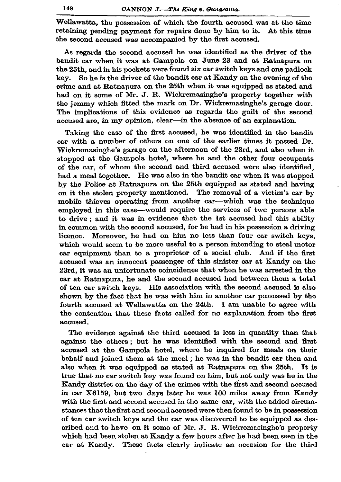Wellawatta, the possession of which the fourth accused was at the time retaining pending payment for repairs done by him to it. At this time the second accused was accompanied by the first accused.

As regards the second accused he was identified as the driver of the bandit car when it was at Gampola on June 23 and at Ratnapura on the 25th, and in his pockets were found six car switch keys and one padlock key. So he is the driver of the bandit car at Kandy on the evening of the crime and at Ratnanura on the 25th when it was equipped as stated and had on it some of Mr. J. R. Wickremasinghe's property together with the jemmy which fitted the mark on Dr. Wickremasinghe's garage door. The implications of this ovidence as regards the guilt of the second accused are, in my opinion, clear-in the absence of an explanation.

Taking the case of the first accused, he was identified in the bandit car with a number of others on one of the earlier times it passed Dr. Wickremasinghe's garage on the afternoon of the 23rd, and also when it stopped at the Gampola hotel, where he and the other four occupants of the car, of whom the second and third accused were also identified, had a meal together. He was also in the bandit car when it was stopped by the Police at Ratnapura on the 25th equipped as stated and having on it the stolen property mentioned. The removal of a victim's car by mobile thieves operating from another car-which was the technique employed in this case—would require the services of two persons able to drive; and it was in evidence that the 1st accused had this ability in common with the second accused, for he had in his possession a driving licence. Moreover, he had on him no less than four car switch keys. which would seem to be more useful to a person intending to steal motor car equipment than to a proprietor of a social club. And if the first accused was an innocent passenger of this sinister car at Kandy on the 23rd, it was an unfortunate coincidence that when he was arrested in the car at Ratnapura, he and the second accused had between them a total of ten car switch keys. His association with the second accused is also shown by the fact that he was with him in another car possessed by the fourth accused at Wellawatta on the 24th. I am unable to agree with the contention that these facts called for no explanation from the first accused.

The evidence against the third accused is less in quantity than that against the others; but he was identified with the second and first accused at the Gampola hotel, where he inquired for meals on their behalf and joined them at the meal; he was in the bandit car then and also when it was equipped as stated at Ratnapura on the 25th. It is true that no car switch key was found on him, but not only was he in the Kandy district on the day of the crimes with the first and second accused in car X6159, but two days later he was 100 miles away from Kandy with the first and second accused in the same car, with the added circumstances that the first and second accused were then found to be in possession of ten car switch keys and the car was discovered to be equipped as described and to have on it some of Mr. J. R. Wickremasinghe's property which had been stolen at Kandy a few hours after he had been seen in the car at Kandy. These facts clearly indicate an occasion for the third